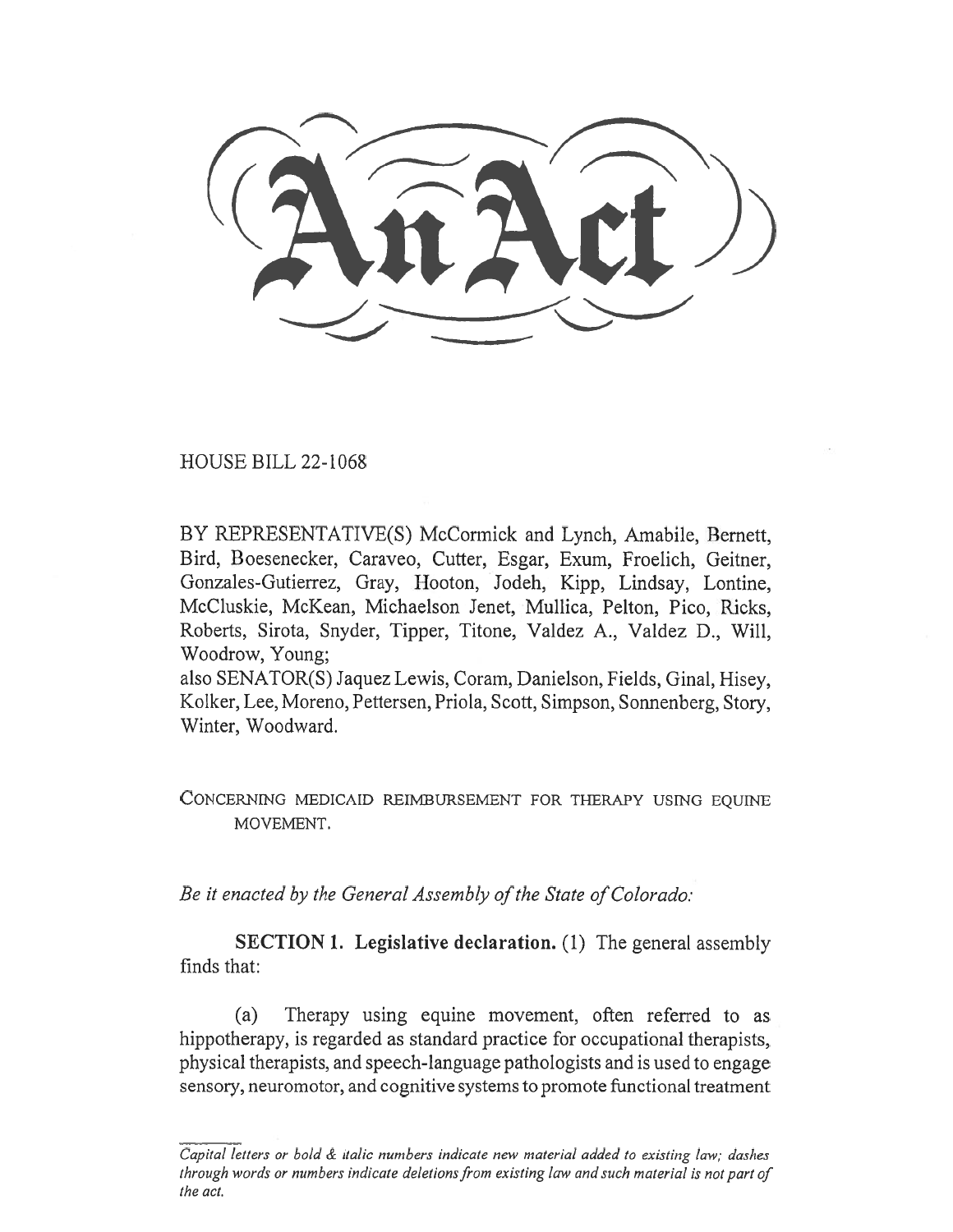HOUSE BILL 22-1068

BY REPRESENTATIVE(S) McCormick and Lynch, Amabile, Bernett, Bird, Boesenecker, Caraveo, Cutter, Esgar, Exum, Froelich, Geitner, Gonzales-Gutierrez, Gray, Hooton, Jodeh, Kipp, Lindsay, Lontine, McCluskie, McKean, Michaelson Jenet, Mullica, Pelton, Pico, Ricks, Roberts, Sirota, Snyder, Tipper, Titone, Valdez A., Valdez D., Will, Woodrow, Young;

also SENATOR(S) Jaquez Lewis, Coram, Danielson, Fields, Ginal, Hisey, Kolker, Lee, Moreno, Pettersen, Priola, Scott, Simpson, Sonnenberg, Story, Winter, Woodward.

CONCERNING MEDICAID REIMBURSEMENT FOR THERAPY USING EQUINE MOVEMENT.

Be it enacted by the General Assembly of the State of Colorado:

SECTION 1. Legislative declaration. (1) The general assembly finds that:

(a) Therapy using equine movement, often referred to as hippotherapy, is regarded as standard practice for occupational therapists, physical therapists, and speech-language pathologists and is used to engage sensory, neuromotor, and cognitive systems to promote functional treatment

Capital letters or bold & italic numbers indicate new material added to existing law; dashes through words or numbers indicate deletions from existing law and such material is not part of the act.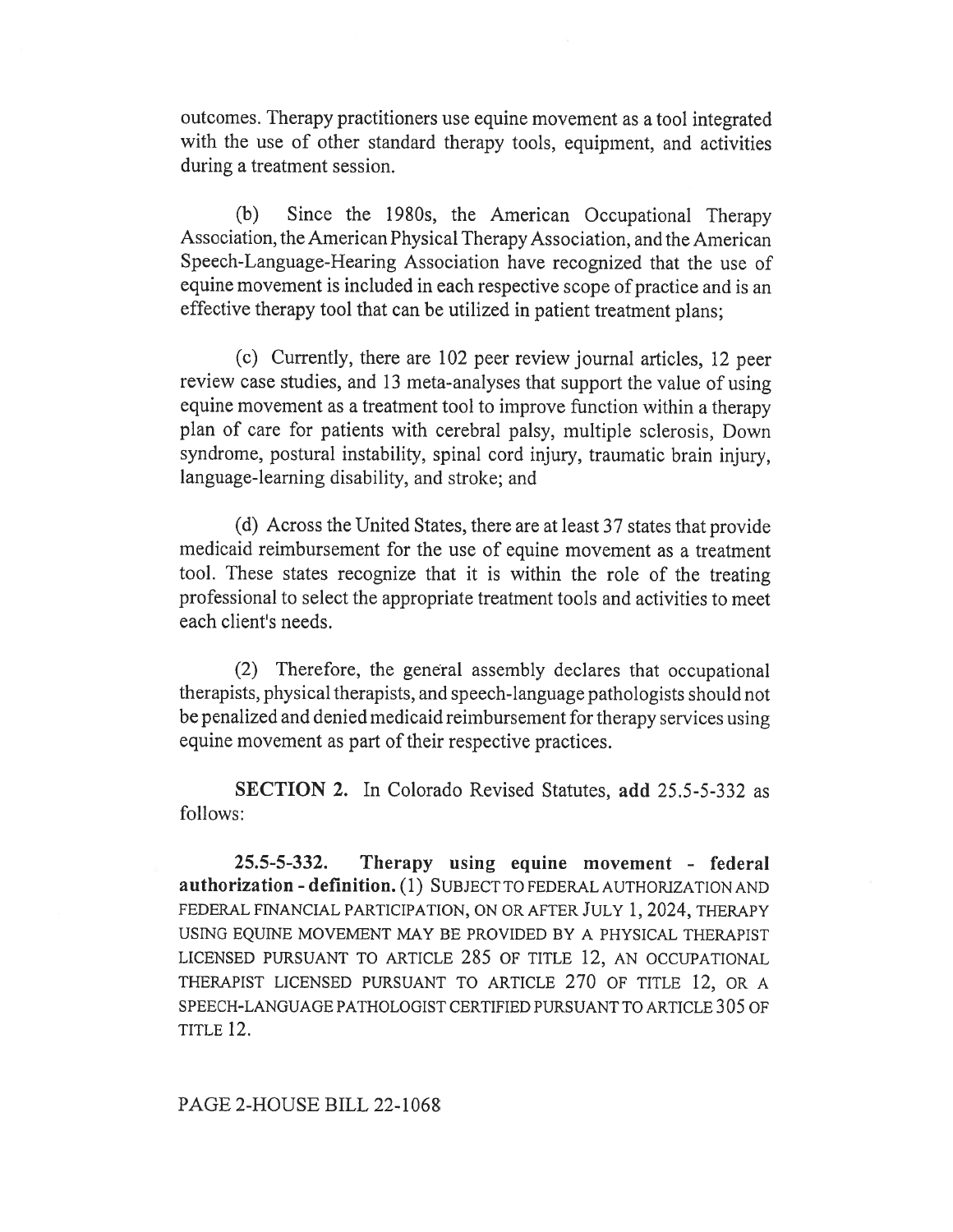outcomes. Therapy practitioners use equine movement as a tool integrated with the use of other standard therapy tools, equipment, and activities during a treatment session.

(b) Since the 1980s, the American Occupational Therapy Association, the American Physical Therapy Association, and the American Speech-Language-Hearing Association have recognized that the use of equine movement is included in each respective scope of practice and is an effective therapy tool that can be utilized in patient treatment plans;

(c) Currently, there are 102 peer review journal articles, 12 peer review case studies, and 13 meta-analyses that support the value of using equine movement as a treatment tool to improve function within a therapy plan of care for patients with cerebral palsy, multiple sclerosis, Down syndrome, postural instability, spinal cord injury, traumatic brain injury, language-learning disability, and stroke; and

(d) Across the United States, there are at least 37 states that provide medicaid reimbursement for the use of equine movement as a treatment tool. These states recognize that it is within the role of the treating professional to select the appropriate treatment tools and activities to meet each client's needs.

(2) Therefore, the general assembly declares that occupational therapists, physical therapists, and speech-language pathologists should not be penalized and denied medicaid reimbursement for therapy services using equine movement as part of their respective practices.

SECTION 2. In Colorado Revised Statutes, add 25.5-5-332 as follows:

25.5-5-332. Therapy using equine movement - federal authorization - definition. (1) SUBJECT TO FEDERAL AUTHORIZATION AND FEDERAL FINANCIAL PARTICIPATION, ON OR AFTER JULY 1, 2024, THERAPY USING EQUINE MOVEMENT MAY BE PROVIDED BY A PHYSICAL THERAPIST LICENSED PURSUANT TO ARTICLE 285 OF TITLE 12, AN OCCUPATIONAL THERAPIST LICENSED PURSUANT TO ARTICLE 270 OF TITLE 12, OR A SPEECH-LANGUAGE PATHOLOGIST CERTIFIED PURSUANT TO ARTICLE 305 OF TITLE 12.

## PAGE 2-HOUSE BILL 22-1068